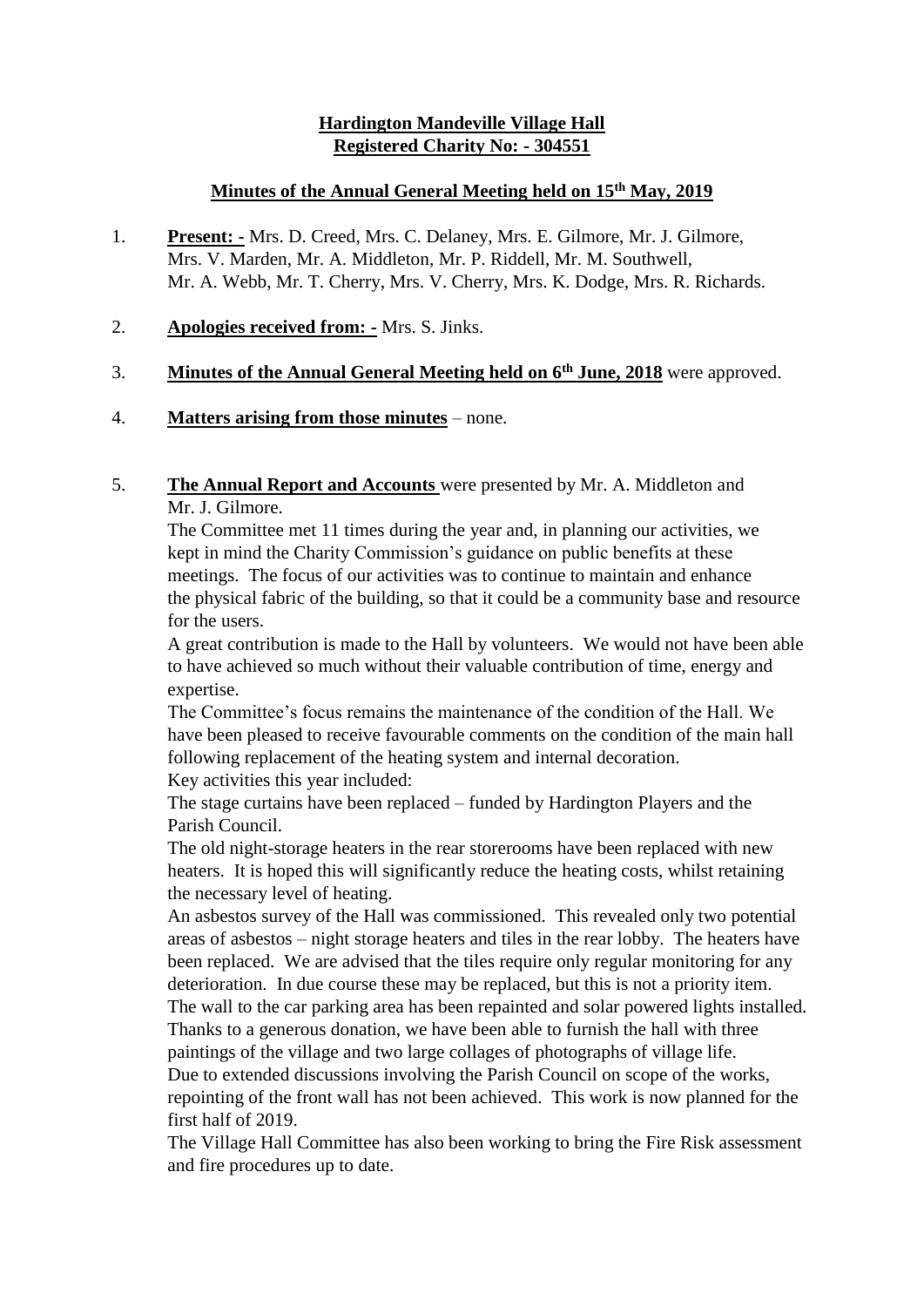# **Hardington Mandeville Village Hall Registered Charity No: - 304551**

## **Minutes of the Annual General Meeting held on 15th May, 2019**

- 1. **Present: -** Mrs. D. Creed, Mrs. C. Delaney, Mrs. E. Gilmore, Mr. J. Gilmore, Mrs. V. Marden, Mr. A. Middleton, Mr. P. Riddell, Mr. M. Southwell, Mr. A. Webb, Mr. T. Cherry, Mrs. V. Cherry, Mrs. K. Dodge, Mrs. R. Richards.
- 2. **Apologies received from: -** Mrs. S. Jinks.

## 3. **Minutes of the Annual General Meeting held on 6th June, 2018** were approved.

# 4. **Matters arising from those minutes** – none.

## 5. **The Annual Report and Accounts** were presented by Mr. A. Middleton and Mr. J. Gilmore.

The Committee met 11 times during the year and, in planning our activities, we kept in mind the Charity Commission's guidance on public benefits at these meetings. The focus of our activities was to continue to maintain and enhance the physical fabric of the building, so that it could be a community base and resource for the users.

A great contribution is made to the Hall by volunteers. We would not have been able to have achieved so much without their valuable contribution of time, energy and expertise.

The Committee's focus remains the maintenance of the condition of the Hall. We have been pleased to receive favourable comments on the condition of the main hall following replacement of the heating system and internal decoration. Key activities this year included:

The stage curtains have been replaced – funded by Hardington Players and the Parish Council.

The old night-storage heaters in the rear storerooms have been replaced with new heaters. It is hoped this will significantly reduce the heating costs, whilst retaining the necessary level of heating.

An asbestos survey of the Hall was commissioned. This revealed only two potential areas of asbestos – night storage heaters and tiles in the rear lobby. The heaters have been replaced. We are advised that the tiles require only regular monitoring for any deterioration. In due course these may be replaced, but this is not a priority item.

The wall to the car parking area has been repainted and solar powered lights installed. Thanks to a generous donation, we have been able to furnish the hall with three paintings of the village and two large collages of photographs of village life.

Due to extended discussions involving the Parish Council on scope of the works, repointing of the front wall has not been achieved. This work is now planned for the first half of 2019.

The Village Hall Committee has also been working to bring the Fire Risk assessment and fire procedures up to date.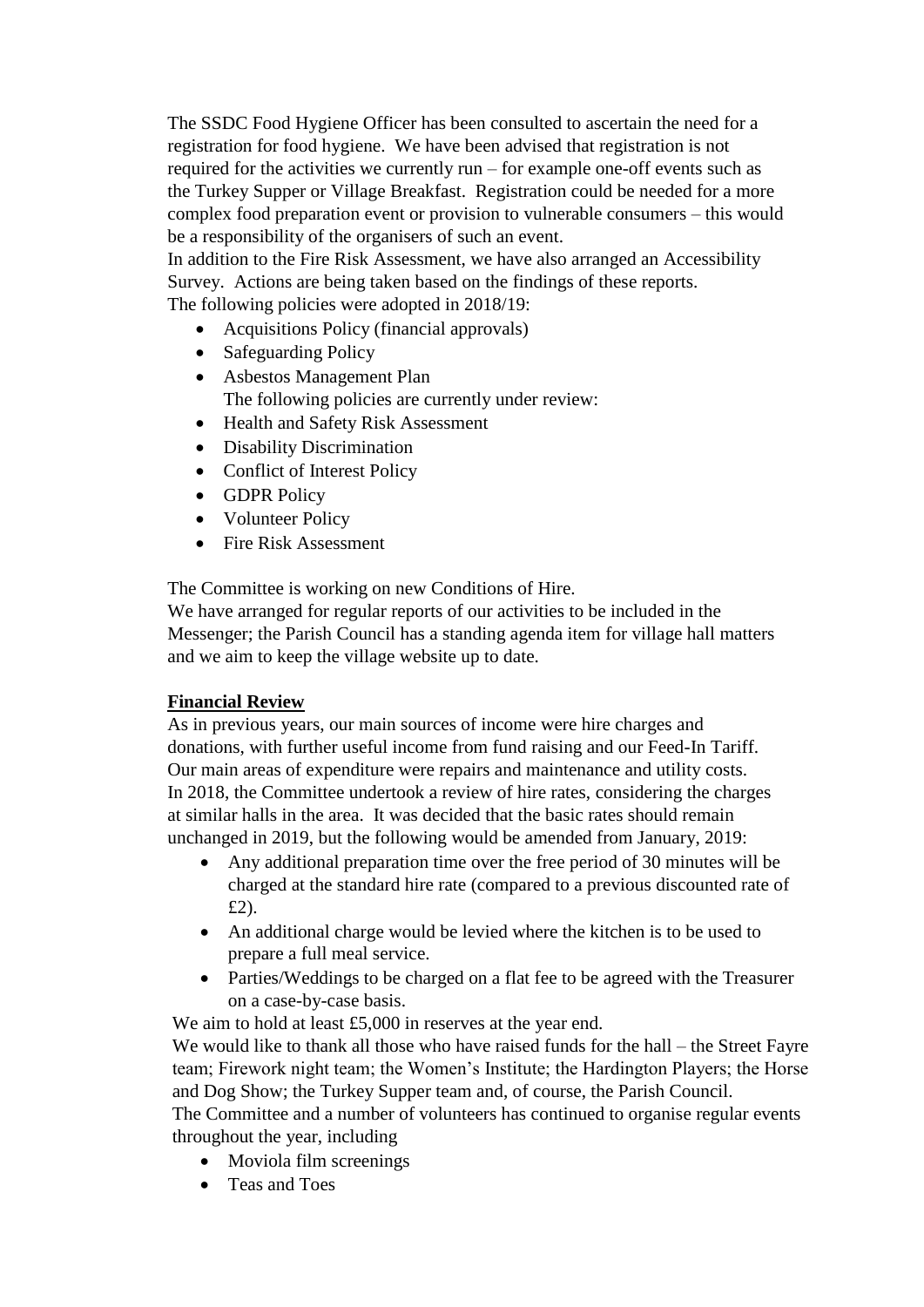The SSDC Food Hygiene Officer has been consulted to ascertain the need for a registration for food hygiene. We have been advised that registration is not required for the activities we currently run – for example one-off events such as the Turkey Supper or Village Breakfast. Registration could be needed for a more complex food preparation event or provision to vulnerable consumers – this would be a responsibility of the organisers of such an event.

In addition to the Fire Risk Assessment, we have also arranged an Accessibility Survey. Actions are being taken based on the findings of these reports. The following policies were adopted in 2018/19:

- Acquisitions Policy (financial approvals)
- Safeguarding Policy
- Asbestos Management Plan The following policies are currently under review:
- Health and Safety Risk Assessment
- Disability Discrimination
- Conflict of Interest Policy
- GDPR Policy
- Volunteer Policy
- Fire Risk Assessment

The Committee is working on new Conditions of Hire.

We have arranged for regular reports of our activities to be included in the Messenger; the Parish Council has a standing agenda item for village hall matters and we aim to keep the village website up to date.

## **Financial Review**

As in previous years, our main sources of income were hire charges and donations, with further useful income from fund raising and our Feed-In Tariff. Our main areas of expenditure were repairs and maintenance and utility costs. In 2018, the Committee undertook a review of hire rates, considering the charges at similar halls in the area. It was decided that the basic rates should remain unchanged in 2019, but the following would be amended from January, 2019:

- Any additional preparation time over the free period of 30 minutes will be charged at the standard hire rate (compared to a previous discounted rate of £2).
- An additional charge would be levied where the kitchen is to be used to prepare a full meal service.
- Parties/Weddings to be charged on a flat fee to be agreed with the Treasurer on a case-by-case basis.

We aim to hold at least £5,000 in reserves at the year end. We would like to thank all those who have raised funds for the hall – the Street Fayre team; Firework night team; the Women's Institute; the Hardington Players; the Horse and Dog Show; the Turkey Supper team and, of course, the Parish Council.

The Committee and a number of volunteers has continued to organise regular events throughout the year, including

- Moviola film screenings
- Teas and Toes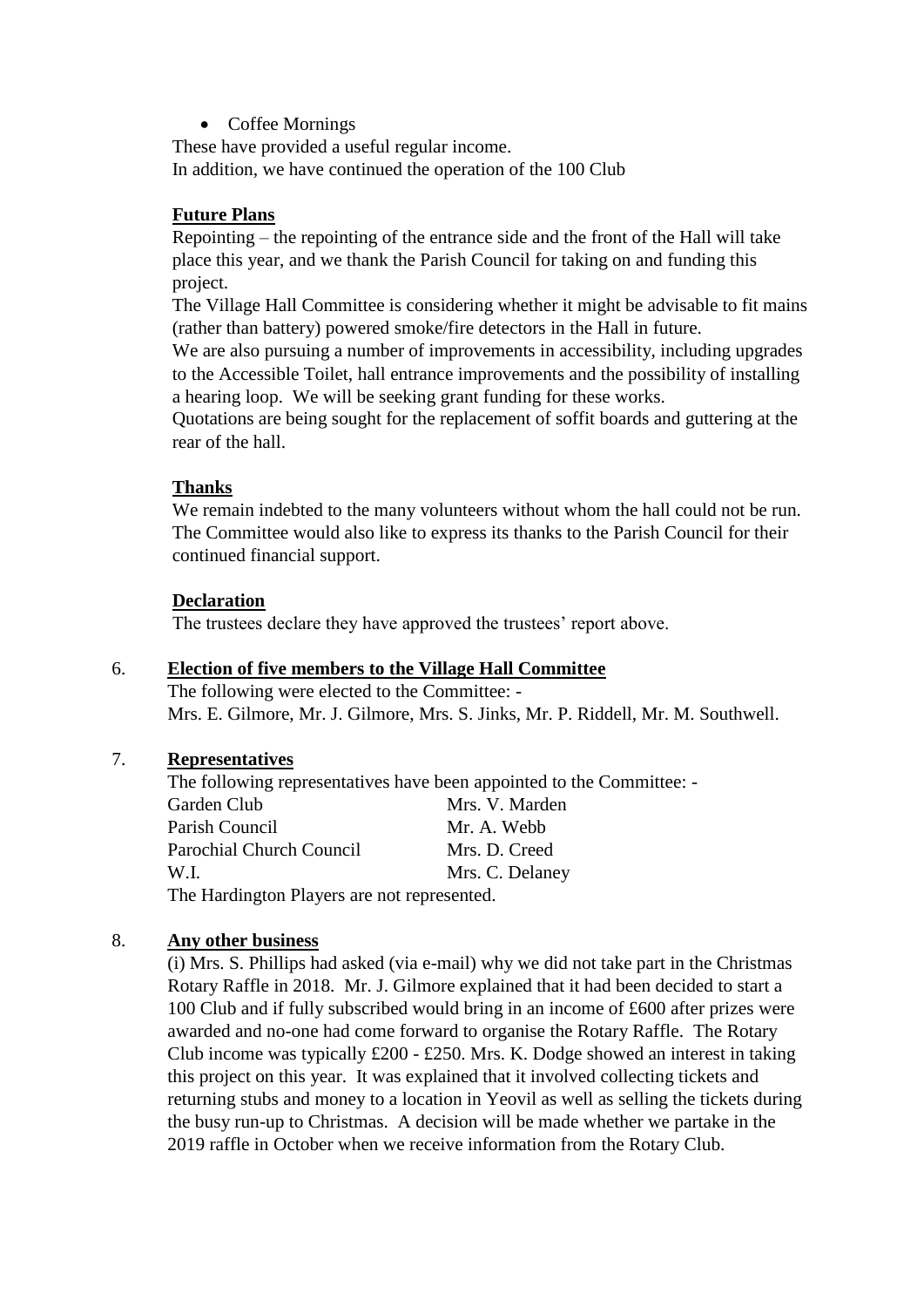• Coffee Mornings

These have provided a useful regular income. In addition, we have continued the operation of the 100 Club

#### **Future Plans**

Repointing – the repointing of the entrance side and the front of the Hall will take place this year, and we thank the Parish Council for taking on and funding this project.

The Village Hall Committee is considering whether it might be advisable to fit mains (rather than battery) powered smoke/fire detectors in the Hall in future.

We are also pursuing a number of improvements in accessibility, including upgrades to the Accessible Toilet, hall entrance improvements and the possibility of installing a hearing loop. We will be seeking grant funding for these works.

Quotations are being sought for the replacement of soffit boards and guttering at the rear of the hall.

#### **Thanks**

We remain indebted to the many volunteers without whom the hall could not be run. The Committee would also like to express its thanks to the Parish Council for their continued financial support.

#### **Declaration**

The trustees declare they have approved the trustees' report above.

## 6. **Election of five members to the Village Hall Committee**

The following were elected to the Committee: - Mrs. E. Gilmore, Mr. J. Gilmore, Mrs. S. Jinks, Mr. P. Riddell, Mr. M. Southwell.

#### 7. **Representatives**

The following representatives have been appointed to the Committee: - Garden Club Mrs. V. Marden Parish Council Mr. A. Webb Parochial Church Council Mrs. D. Creed W.I. Mrs. C. Delaney The Hardington Players are not represented.

#### 8. **Any other business**

(i) Mrs. S. Phillips had asked (via e-mail) why we did not take part in the Christmas Rotary Raffle in 2018. Mr. J. Gilmore explained that it had been decided to start a 100 Club and if fully subscribed would bring in an income of £600 after prizes were awarded and no-one had come forward to organise the Rotary Raffle. The Rotary Club income was typically £200 - £250. Mrs. K. Dodge showed an interest in taking this project on this year. It was explained that it involved collecting tickets and returning stubs and money to a location in Yeovil as well as selling the tickets during the busy run-up to Christmas. A decision will be made whether we partake in the 2019 raffle in October when we receive information from the Rotary Club.